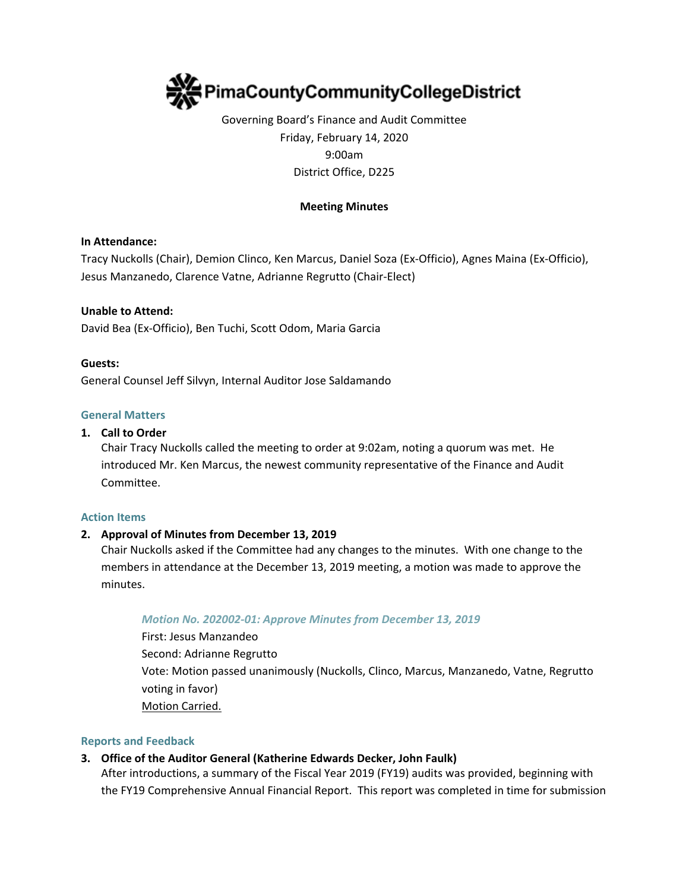

# Governing Board's Finance and Audit Committee Friday, February 14, 2020 9:00am District Office, D225

## **Meeting Minutes**

### **In Attendance:**

Tracy Nuckolls (Chair), Demion Clinco, Ken Marcus, Daniel Soza (Ex-Officio), Agnes Maina (Ex-Officio), Jesus Manzanedo, Clarence Vatne, Adrianne Regrutto (Chair-Elect)

### **Unable to Attend:**

David Bea (Ex-Officio), Ben Tuchi, Scott Odom, Maria Garcia

#### **Guests:**

General Counsel Jeff Silvyn, Internal Auditor Jose Saldamando

### **General Matters**

#### **1. Call to Order**

Chair Tracy Nuckolls called the meeting to order at 9:02am, noting a quorum was met. He introduced Mr. Ken Marcus, the newest community representative of the Finance and Audit Committee.

#### **Action Items**

### **2. Approval of Minutes from December 13, 2019**

Chair Nuckolls asked if the Committee had any changes to the minutes. With one change to the members in attendance at the December 13, 2019 meeting, a motion was made to approve the minutes.

#### *Motion No. 202002-01: Approve Minutes from December 13, 2019*

First: Jesus Manzandeo Second: Adrianne Regrutto Vote: Motion passed unanimously (Nuckolls, Clinco, Marcus, Manzanedo, Vatne, Regrutto voting in favor) Motion Carried.

#### **Reports and Feedback**

#### **3. Office of the Auditor General (Katherine Edwards Decker, John Faulk)**

After introductions, a summary of the Fiscal Year 2019 (FY19) audits was provided, beginning with the FY19 Comprehensive Annual Financial Report. This report was completed in time for submission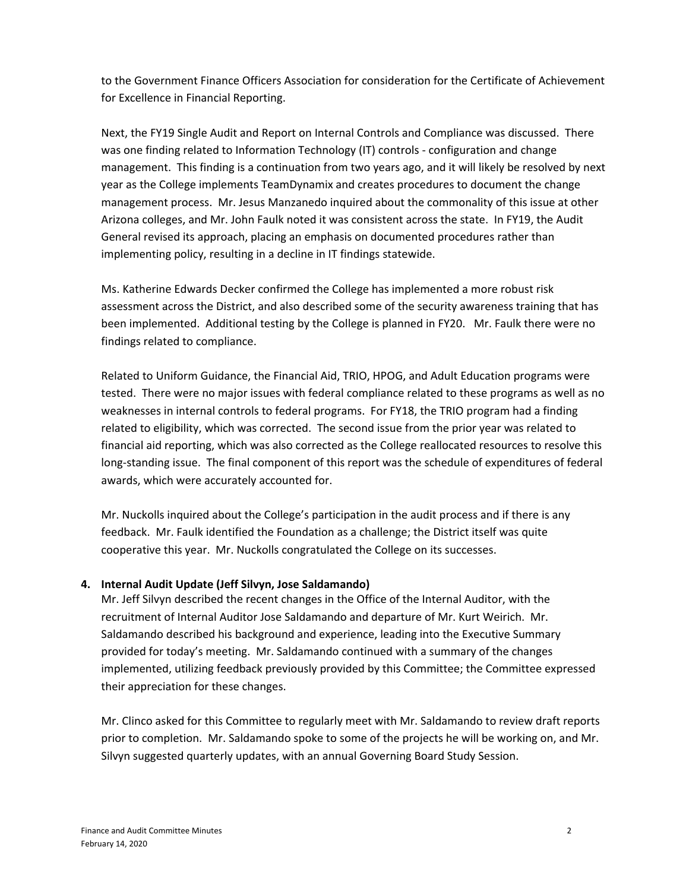to the Government Finance Officers Association for consideration for the Certificate of Achievement for Excellence in Financial Reporting.

Next, the FY19 Single Audit and Report on Internal Controls and Compliance was discussed. There was one finding related to Information Technology (IT) controls - configuration and change management. This finding is a continuation from two years ago, and it will likely be resolved by next year as the College implements TeamDynamix and creates procedures to document the change management process. Mr. Jesus Manzanedo inquired about the commonality of this issue at other Arizona colleges, and Mr. John Faulk noted it was consistent across the state. In FY19, the Audit General revised its approach, placing an emphasis on documented procedures rather than implementing policy, resulting in a decline in IT findings statewide.

Ms. Katherine Edwards Decker confirmed the College has implemented a more robust risk assessment across the District, and also described some of the security awareness training that has been implemented. Additional testing by the College is planned in FY20. Mr. Faulk there were no findings related to compliance.

Related to Uniform Guidance, the Financial Aid, TRIO, HPOG, and Adult Education programs were tested. There were no major issues with federal compliance related to these programs as well as no weaknesses in internal controls to federal programs. For FY18, the TRIO program had a finding related to eligibility, which was corrected. The second issue from the prior year was related to financial aid reporting, which was also corrected as the College reallocated resources to resolve this long-standing issue. The final component of this report was the schedule of expenditures of federal awards, which were accurately accounted for.

Mr. Nuckolls inquired about the College's participation in the audit process and if there is any feedback. Mr. Faulk identified the Foundation as a challenge; the District itself was quite cooperative this year. Mr. Nuckolls congratulated the College on its successes.

## **4. Internal Audit Update (Jeff Silvyn, Jose Saldamando)**

Mr. Jeff Silvyn described the recent changes in the Office of the Internal Auditor, with the recruitment of Internal Auditor Jose Saldamando and departure of Mr. Kurt Weirich. Mr. Saldamando described his background and experience, leading into the Executive Summary provided for today's meeting. Mr. Saldamando continued with a summary of the changes implemented, utilizing feedback previously provided by this Committee; the Committee expressed their appreciation for these changes.

Mr. Clinco asked for this Committee to regularly meet with Mr. Saldamando to review draft reports prior to completion. Mr. Saldamando spoke to some of the projects he will be working on, and Mr. Silvyn suggested quarterly updates, with an annual Governing Board Study Session.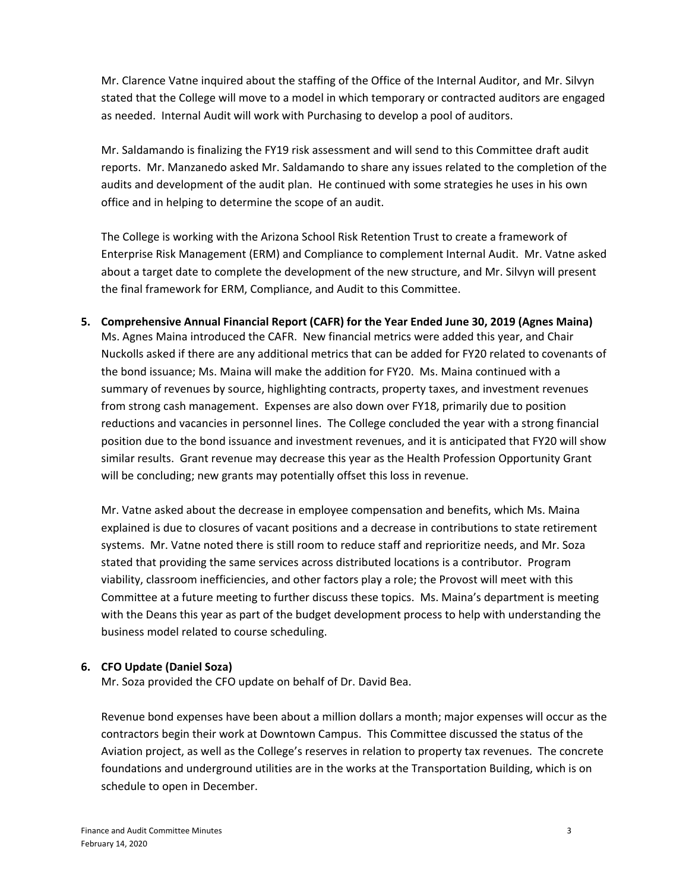Mr. Clarence Vatne inquired about the staffing of the Office of the Internal Auditor, and Mr. Silvyn stated that the College will move to a model in which temporary or contracted auditors are engaged as needed. Internal Audit will work with Purchasing to develop a pool of auditors.

Mr. Saldamando is finalizing the FY19 risk assessment and will send to this Committee draft audit reports. Mr. Manzanedo asked Mr. Saldamando to share any issues related to the completion of the audits and development of the audit plan. He continued with some strategies he uses in his own office and in helping to determine the scope of an audit.

The College is working with the Arizona School Risk Retention Trust to create a framework of Enterprise Risk Management (ERM) and Compliance to complement Internal Audit. Mr. Vatne asked about a target date to complete the development of the new structure, and Mr. Silvyn will present the final framework for ERM, Compliance, and Audit to this Committee.

**5. Comprehensive Annual Financial Report (CAFR) for the Year Ended June 30, 2019 (Agnes Maina)** Ms. Agnes Maina introduced the CAFR. New financial metrics were added this year, and Chair Nuckolls asked if there are any additional metrics that can be added for FY20 related to covenants of the bond issuance; Ms. Maina will make the addition for FY20. Ms. Maina continued with a summary of revenues by source, highlighting contracts, property taxes, and investment revenues from strong cash management. Expenses are also down over FY18, primarily due to position reductions and vacancies in personnel lines. The College concluded the year with a strong financial position due to the bond issuance and investment revenues, and it is anticipated that FY20 will show similar results. Grant revenue may decrease this year as the Health Profession Opportunity Grant will be concluding; new grants may potentially offset this loss in revenue.

Mr. Vatne asked about the decrease in employee compensation and benefits, which Ms. Maina explained is due to closures of vacant positions and a decrease in contributions to state retirement systems. Mr. Vatne noted there is still room to reduce staff and reprioritize needs, and Mr. Soza stated that providing the same services across distributed locations is a contributor. Program viability, classroom inefficiencies, and other factors play a role; the Provost will meet with this Committee at a future meeting to further discuss these topics. Ms. Maina's department is meeting with the Deans this year as part of the budget development process to help with understanding the business model related to course scheduling.

## **6. CFO Update (Daniel Soza)**

Mr. Soza provided the CFO update on behalf of Dr. David Bea.

Revenue bond expenses have been about a million dollars a month; major expenses will occur as the contractors begin their work at Downtown Campus. This Committee discussed the status of the Aviation project, as well as the College's reserves in relation to property tax revenues. The concrete foundations and underground utilities are in the works at the Transportation Building, which is on schedule to open in December.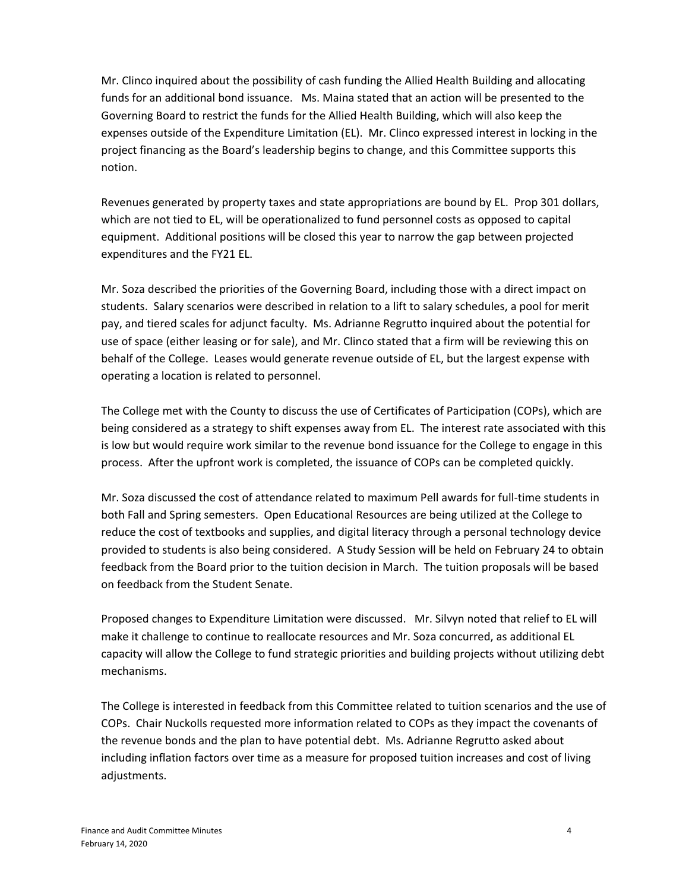Mr. Clinco inquired about the possibility of cash funding the Allied Health Building and allocating funds for an additional bond issuance. Ms. Maina stated that an action will be presented to the Governing Board to restrict the funds for the Allied Health Building, which will also keep the expenses outside of the Expenditure Limitation (EL). Mr. Clinco expressed interest in locking in the project financing as the Board's leadership begins to change, and this Committee supports this notion.

Revenues generated by property taxes and state appropriations are bound by EL. Prop 301 dollars, which are not tied to EL, will be operationalized to fund personnel costs as opposed to capital equipment. Additional positions will be closed this year to narrow the gap between projected expenditures and the FY21 EL.

Mr. Soza described the priorities of the Governing Board, including those with a direct impact on students. Salary scenarios were described in relation to a lift to salary schedules, a pool for merit pay, and tiered scales for adjunct faculty. Ms. Adrianne Regrutto inquired about the potential for use of space (either leasing or for sale), and Mr. Clinco stated that a firm will be reviewing this on behalf of the College. Leases would generate revenue outside of EL, but the largest expense with operating a location is related to personnel.

The College met with the County to discuss the use of Certificates of Participation (COPs), which are being considered as a strategy to shift expenses away from EL. The interest rate associated with this is low but would require work similar to the revenue bond issuance for the College to engage in this process. After the upfront work is completed, the issuance of COPs can be completed quickly.

Mr. Soza discussed the cost of attendance related to maximum Pell awards for full-time students in both Fall and Spring semesters. Open Educational Resources are being utilized at the College to reduce the cost of textbooks and supplies, and digital literacy through a personal technology device provided to students is also being considered. A Study Session will be held on February 24 to obtain feedback from the Board prior to the tuition decision in March. The tuition proposals will be based on feedback from the Student Senate.

Proposed changes to Expenditure Limitation were discussed. Mr. Silvyn noted that relief to EL will make it challenge to continue to reallocate resources and Mr. Soza concurred, as additional EL capacity will allow the College to fund strategic priorities and building projects without utilizing debt mechanisms.

The College is interested in feedback from this Committee related to tuition scenarios and the use of COPs. Chair Nuckolls requested more information related to COPs as they impact the covenants of the revenue bonds and the plan to have potential debt. Ms. Adrianne Regrutto asked about including inflation factors over time as a measure for proposed tuition increases and cost of living adjustments.